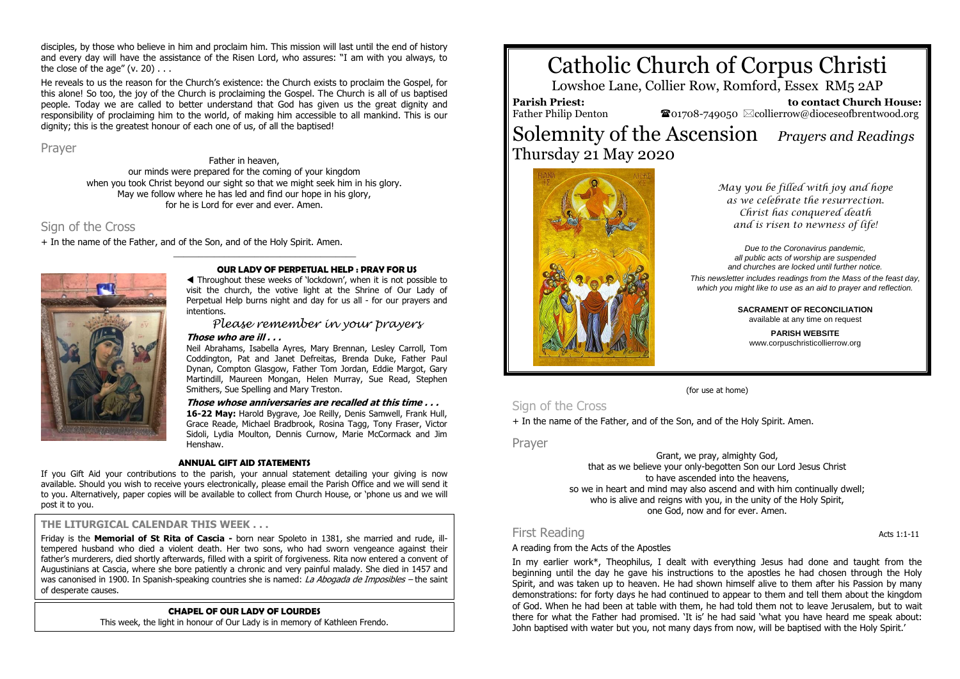disciples, by those who believe in him and proclaim him. This mission will last until the end of history and every day will have the assistance of the Risen Lord, who assures: "I am with you always, to the close of the age"  $(v. 20)$ ...

He reveals to us the reason for the Church's existence: the Church exists to proclaim the Gospel, for this alone! So too, the joy of the Church is proclaiming the Gospel. The Church is all of us baptised people. Today we are called to better understand that God has given us the great dignity and responsibility of proclaiming him to the world, of making him accessible to all mankind. This is our dignity; this is the greatest honour of each one of us, of all the baptised!

Prayer

Father in heaven, our minds were prepared for the coming of your kingdom when you took Christ beyond our sight so that we might seek him in his glory. May we follow where he has led and find our hope in his glory, for he is Lord for ever and ever. Amen.

\_\_\_\_\_\_\_\_\_\_\_\_\_\_\_\_\_\_\_\_\_\_\_\_\_\_\_\_\_\_\_\_\_\_\_\_

# Sign of the Cross

+ In the name of the Father, and of the Son, and of the Holy Spirit. Amen.



### **OUR LADY OF PERPETUAL HELP : PRAY FOR US**

 Throughout these weeks of 'lockdown', when it is not possible to visit the church, the votive light at the Shrine of Our Lady of Perpetual Help burns night and day for us all - for our prayers and intentions.

*Please remember in your prayers*

### **Those who are ill . . .**

Neil Abrahams, Isabella Ayres, Mary Brennan, Lesley Carroll, Tom Coddington, Pat and Janet Defreitas, Brenda Duke, Father Paul Dynan, Compton Glasgow, Father Tom Jordan, Eddie Margot, Gary Martindill, Maureen Mongan, Helen Murray, Sue Read, Stephen Smithers, Sue Spelling and Mary Treston.

**Those whose anniversaries are recalled at this time . . . 16-22 May:** Harold Bygrave, Joe Reilly, Denis Samwell, Frank Hull, Grace Reade, Michael Bradbrook, Rosina Tagg, Tony Fraser, Victor Sidoli, Lydia Moulton, Dennis Curnow, Marie McCormack and Jim Henshaw.

### **ANNUAL GIFT AID STATEMENTS**

If you Gift Aid your contributions to the parish, your annual statement detailing your giving is now available. Should you wish to receive yours electronically, please email the Parish Office and we will send it to you. Alternatively, paper copies will be available to collect from Church House, or 'phone us and we will post it to you.

# **THE LITURGICAL CALENDAR THIS WEEK . . .**

Friday is the **Memorial of St Rita of Cascia -** born near Spoleto in 1381, she married and rude, illtempered husband who died a violent death. Her two sons, who had sworn vengeance against their father's murderers, died shortly afterwards, filled with a spirit of forgiveness. Rita now entered a convent of Augustinians at Cascia, where she bore patiently a chronic and very painful malady. She died in 1457 and was canonised in 1900. In Spanish-speaking countries she is named: *La Abogada de Imposibles –* the saint of desperate causes.

## **CHAPEL OF OUR LADY OF LOURDES**

This week, the light in honour of Our Lady is in memory of Kathleen Frendo.

# Catholic Church of Corpus Christi

Lowshoe Lane, Collier Row, Romford, Essex RM5 2AP

**Parish Priest:** Father Philip Denton

 **to contact Church House:**  $\bullet$ 01708-749050  $\boxtimes$ collierrow@dioceseofbrentwood.org

# Solemnity of the Ascension *Prayers and Readings* Thursday 21 May 2020



*May you be filled with joy and hope as we celebrate the resurrection. Christ has conquered death and is risen to newness of life!*

*Due to the Coronavirus pandemic, all public acts of worship are suspended and churches are locked until further notice. This newsletter includes readings from the Mass of the feast day, which you might like to use as an aid to prayer and reflection.*

> **SACRAMENT OF RECONCILIATION** available at any time on request

> > **PARISH WEBSITE** www.corpuschristicollierrow.org

### (for use at home)

# Sign of the Cross

+ In the name of the Father, and of the Son, and of the Holy Spirit. Amen.

Prayer

Grant, we pray, almighty God, that as we believe your only-begotten Son our Lord Jesus Christ to have ascended into the heavens, so we in heart and mind may also ascend and with him continually dwell; who is alive and reigns with you, in the unity of the Holy Spirit, one God, now and for ever. Amen.

# First Reading **Acts** 1:1-11

# A reading from the Acts of the Apostles

In my earlier work\*, Theophilus, I dealt with everything Jesus had done and taught from the beginning until the day he gave his instructions to the apostles he had chosen through the Holy Spirit, and was taken up to heaven. He had shown himself alive to them after his Passion by many demonstrations: for forty days he had continued to appear to them and tell them about the kingdom of God. When he had been at table with them, he had told them not to leave Jerusalem, but to wait there for what the Father had promised. 'It is' he had said 'what you have heard me speak about: John baptised with water but you, not many days from now, will be baptised with the Holy Spirit.'